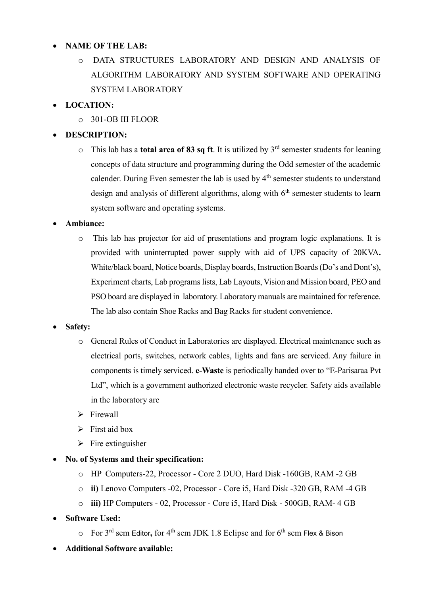#### **NAME OF THE LAB:**

o DATA STRUCTURES LABORATORY AND DESIGN AND ANALYSIS OF ALGORITHM LABORATORY AND SYSTEM SOFTWARE AND OPERATING SYSTEM LABORATORY

## **LOCATION:**

o 301-OB III FLOOR

# **DESCRIPTION:**

o This lab has a **total area of 83 sq ft**. It is utilized by 3rd semester students for leaning concepts of data structure and programming during the Odd semester of the academic calender. During Even semester the lab is used by 4<sup>th</sup> semester students to understand design and analysis of different algorithms, along with  $6<sup>th</sup>$  semester students to learn system software and operating systems.

### **Ambiance:**

o This lab has projector for aid of presentations and program logic explanations. It is provided with uninterrupted power supply with aid of UPS capacity of 20KVA**.**  White/black board, Notice boards, Display boards, Instruction Boards (Do's and Dont's), Experiment charts, Lab programs lists, Lab Layouts, Vision and Mission board, PEO and PSO board are displayed in laboratory. Laboratory manuals are maintained for reference. The lab also contain Shoe Racks and Bag Racks for student convenience.

#### **Safety:**

- o General Rules of Conduct in Laboratories are displayed. Electrical maintenance such as electrical ports, switches, network cables, lights and fans are serviced. Any failure in components is timely serviced. **e-Waste** is periodically handed over to "E-Parisaraa Pvt Ltd", which is a government authorized electronic waste recycler. Safety aids available in the laboratory are
- $\triangleright$  Firewall
- $\triangleright$  First aid box
- $\triangleright$  Fire extinguisher
- **No. of Systems and their specification:** 
	- o HP Computers-22, Processor Core 2 DUO, Hard Disk -160GB, RAM -2 GB
	- o **ii)** Lenovo Computers -02, Processor Core i5, Hard Disk -320 GB, RAM -4 GB
	- o **iii)** HP Computers 02, Processor Core i5, Hard Disk 500GB, RAM- 4 GB
- **Software Used:** 
	- o For 3rd sem Editor**,** for 4th sem JDK 1.8 Eclipse and for 6th sem Flex & Bison
- **Additional Software available:**